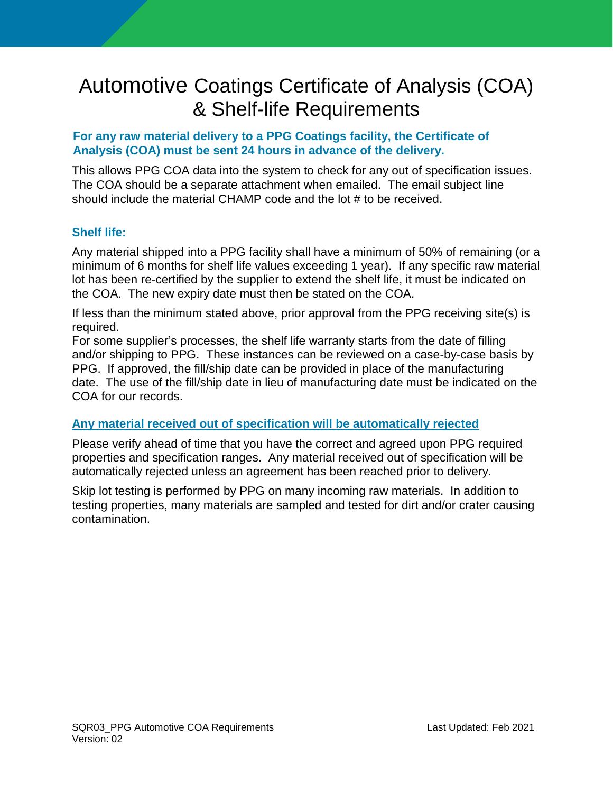## Automotive Coatings Certificate of Analysis (COA) & Shelf-life Requirements

## **For any raw material delivery to a PPG Coatings facility, the Certificate of Analysis (COA) must be sent 24 hours in advance of the delivery.**

This allows PPG COA data into the system to check for any out of specification issues. The COA should be a separate attachment when emailed. The email subject line should include the material CHAMP code and the lot # to be received.

## **Shelf life:**

Any material shipped into a PPG facility shall have a minimum of 50% of remaining (or a minimum of 6 months for shelf life values exceeding 1 year). If any specific raw material lot has been re-certified by the supplier to extend the shelf life, it must be indicated on the COA. The new expiry date must then be stated on the COA.

If less than the minimum stated above, prior approval from the PPG receiving site(s) is required.

For some supplier's processes, the shelf life warranty starts from the date of filling and/or shipping to PPG. These instances can be reviewed on a case-by-case basis by PPG. If approved, the fill/ship date can be provided in place of the manufacturing date. The use of the fill/ship date in lieu of manufacturing date must be indicated on the COA for our records.

## **Any material received out of specification will be automatically rejected**

Please verify ahead of time that you have the correct and agreed upon PPG required properties and specification ranges. Any material received out of specification will be automatically rejected unless an agreement has been reached prior to delivery.

Skip lot testing is performed by PPG on many incoming raw materials. In addition to testing properties, many materials are sampled and tested for dirt and/or crater causing contamination.